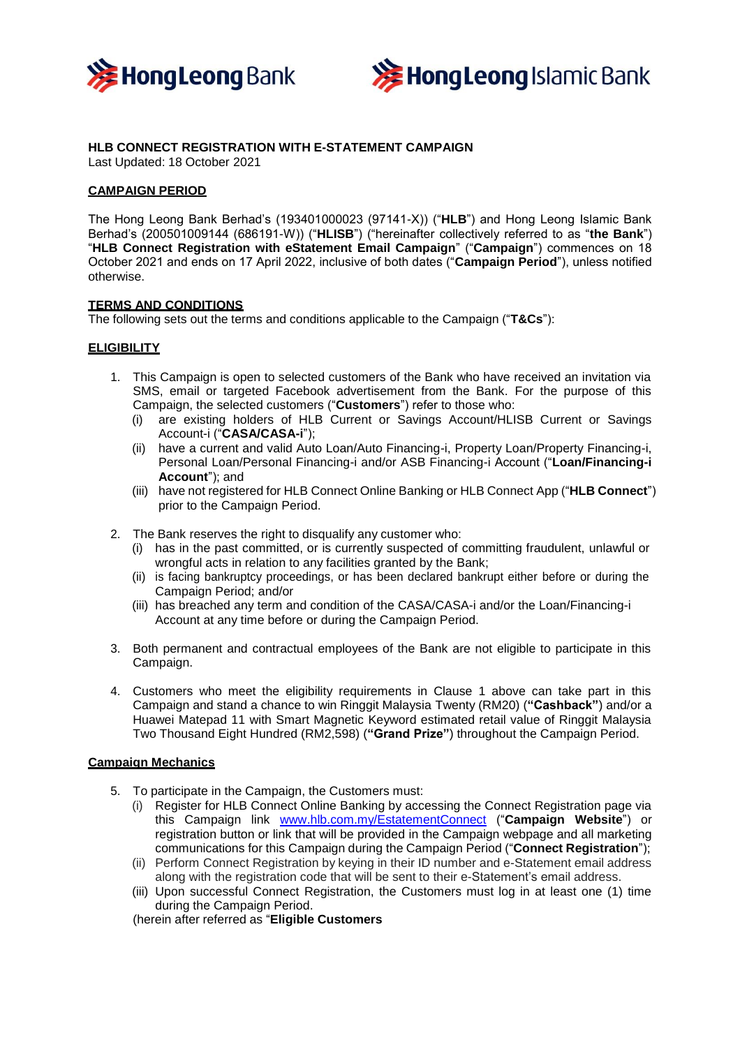



# **HLB CONNECT REGISTRATION WITH E-STATEMENT CAMPAIGN**

Last Updated: 18 October 2021

## **CAMPAIGN PERIOD**

The Hong Leong Bank Berhad's (193401000023 (97141-X)) ("**HLB**") and Hong Leong Islamic Bank Berhad's (200501009144 (686191-W)) ("**HLISB**") ("hereinafter collectively referred to as "**the Bank**") "**HLB Connect Registration with eStatement Email Campaign**" ("**Campaign**") commences on 18 October 2021 and ends on 17 April 2022, inclusive of both dates ("**Campaign Period**"), unless notified otherwise.

## **TERMS AND CONDITIONS**

The following sets out the terms and conditions applicable to the Campaign ("**T&Cs**"):

### **ELIGIBILITY**

- 1. This Campaign is open to selected customers of the Bank who have received an invitation via SMS, email or targeted Facebook advertisement from the Bank. For the purpose of this Campaign, the selected customers ("**Customers**") refer to those who:
	- (i) are existing holders of HLB Current or Savings Account/HLISB Current or Savings Account-i ("**CASA/CASA-i**");
	- (ii) have a current and valid Auto Loan/Auto Financing-i, Property Loan/Property Financing-i, Personal Loan/Personal Financing-i and/or ASB Financing-i Account ("**Loan/Financing-i Account**"); and
	- (iii) have not registered for HLB Connect Online Banking or HLB Connect App ("**HLB Connect**") prior to the Campaign Period.
- 2. The Bank reserves the right to disqualify any customer who:
	- (i) has in the past committed, or is currently suspected of committing fraudulent, unlawful or wrongful acts in relation to any facilities granted by the Bank;
	- (ii) is facing bankruptcy proceedings, or has been declared bankrupt either before or during the Campaign Period; and/or
	- (iii) has breached any term and condition of the CASA/CASA-i and/or the Loan/Financing-i Account at any time before or during the Campaign Period.
- 3. Both permanent and contractual employees of the Bank are not eligible to participate in this Campaign.
- 4. Customers who meet the eligibility requirements in Clause 1 above can take part in this Campaign and stand a chance to win Ringgit Malaysia Twenty (RM20) (**"Cashback"**) and/or a Huawei Matepad 11 with Smart Magnetic Keyword estimated retail value of Ringgit Malaysia Two Thousand Eight Hundred (RM2,598) (**"Grand Prize"**) throughout the Campaign Period.

## **Campaign Mechanics**

- 5. To participate in the Campaign, the Customers must:
	- (i) Register for HLB Connect Online Banking by accessing the Connect Registration page via this Campaign link [www.hlb.com.my/EstatementConnect](http://www.hlb.com.my/EstatementConnect) ("**Campaign Website**") or registration button or link that will be provided in the Campaign webpage and all marketing communications for this Campaign during the Campaign Period ("**Connect Registration**");
	- (ii) Perform Connect Registration by keying in their ID number and e-Statement email address along with the registration code that will be sent to their e-Statement's email address.
	- (iii) Upon successful Connect Registration, the Customers must log in at least one (1) time during the Campaign Period.

(herein after referred as "**Eligible Customers**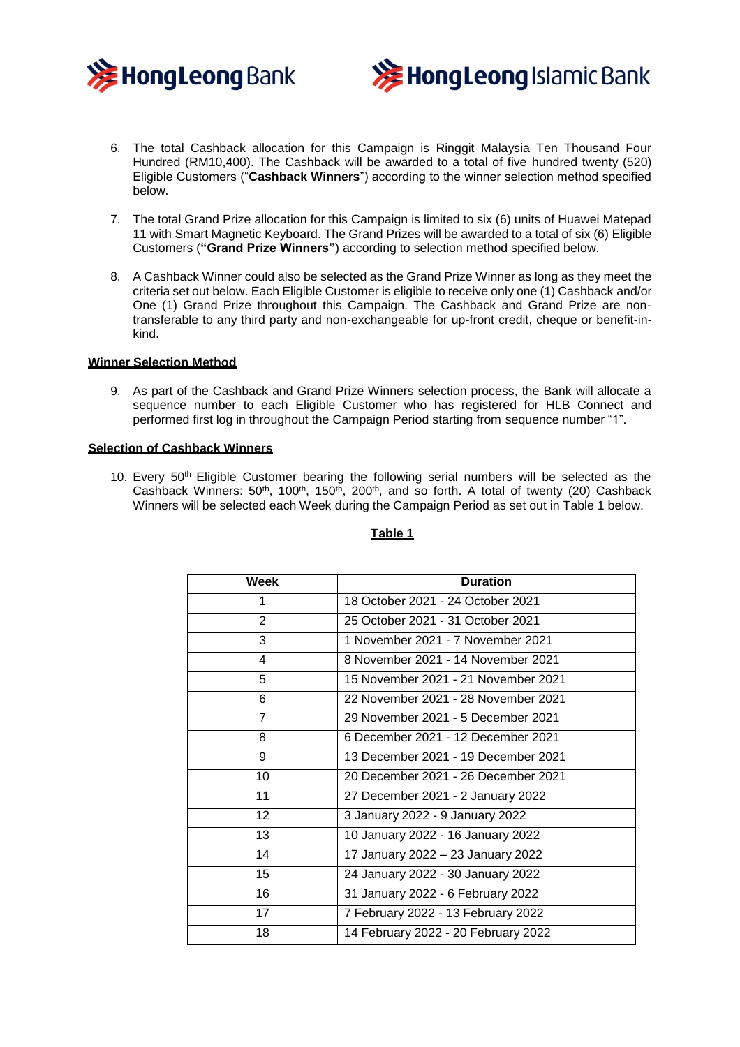



- 6. The total Cashback allocation for this Campaign is Ringgit Malaysia Ten Thousand Four Hundred (RM10,400). The Cashback will be awarded to a total of five hundred twenty (520) Eligible Customers ("**Cashback Winners**") according to the winner selection method specified below.
- 7. The total Grand Prize allocation for this Campaign is limited to six (6) units of Huawei Matepad 11 with Smart Magnetic Keyboard. The Grand Prizes will be awarded to a total of six (6) Eligible Customers (**"Grand Prize Winners"**) according to selection method specified below.
- 8. A Cashback Winner could also be selected as the Grand Prize Winner as long as they meet the criteria set out below. Each Eligible Customer is eligible to receive only one (1) Cashback and/or One (1) Grand Prize throughout this Campaign. The Cashback and Grand Prize are nontransferable to any third party and non-exchangeable for up-front credit, cheque or benefit-inkind.

### **Winner Selection Method**

9. As part of the Cashback and Grand Prize Winners selection process, the Bank will allocate a sequence number to each Eligible Customer who has registered for HLB Connect and performed first log in throughout the Campaign Period starting from sequence number "1".

### **Selection of Cashback Winners**

10. Every  $50<sup>th</sup>$  Eligible Customer bearing the following serial numbers will be selected as the Cashback Winners:  $50<sup>th</sup>$ , 100<sup>th</sup>, 150<sup>th</sup>, 200<sup>th</sup>, and so forth. A total of twenty (20) Cashback Winners will be selected each Week during the Campaign Period as set out in Table 1 below.

| Week            | <b>Duration</b>                     |
|-----------------|-------------------------------------|
|                 | 18 October 2021 - 24 October 2021   |
| $\overline{2}$  | 25 October 2021 - 31 October 2021   |
| 3               | 1 November 2021 - 7 November 2021   |
| 4               | 8 November 2021 - 14 November 2021  |
| 5               | 15 November 2021 - 21 November 2021 |
| 6               | 22 November 2021 - 28 November 2021 |
| $\overline{7}$  | 29 November 2021 - 5 December 2021  |
| 8               | 6 December 2021 - 12 December 2021  |
| 9               | 13 December 2021 - 19 December 2021 |
| 10              | 20 December 2021 - 26 December 2021 |
| 11              | 27 December 2021 - 2 January 2022   |
| 12 <sup>°</sup> | 3 January 2022 - 9 January 2022     |
| 13              | 10 January 2022 - 16 January 2022   |
| 14              | 17 January 2022 - 23 January 2022   |
| 15              | 24 January 2022 - 30 January 2022   |
| 16              | 31 January 2022 - 6 February 2022   |
| 17              | 7 February 2022 - 13 February 2022  |
| 18              | 14 February 2022 - 20 February 2022 |

#### **Table 1**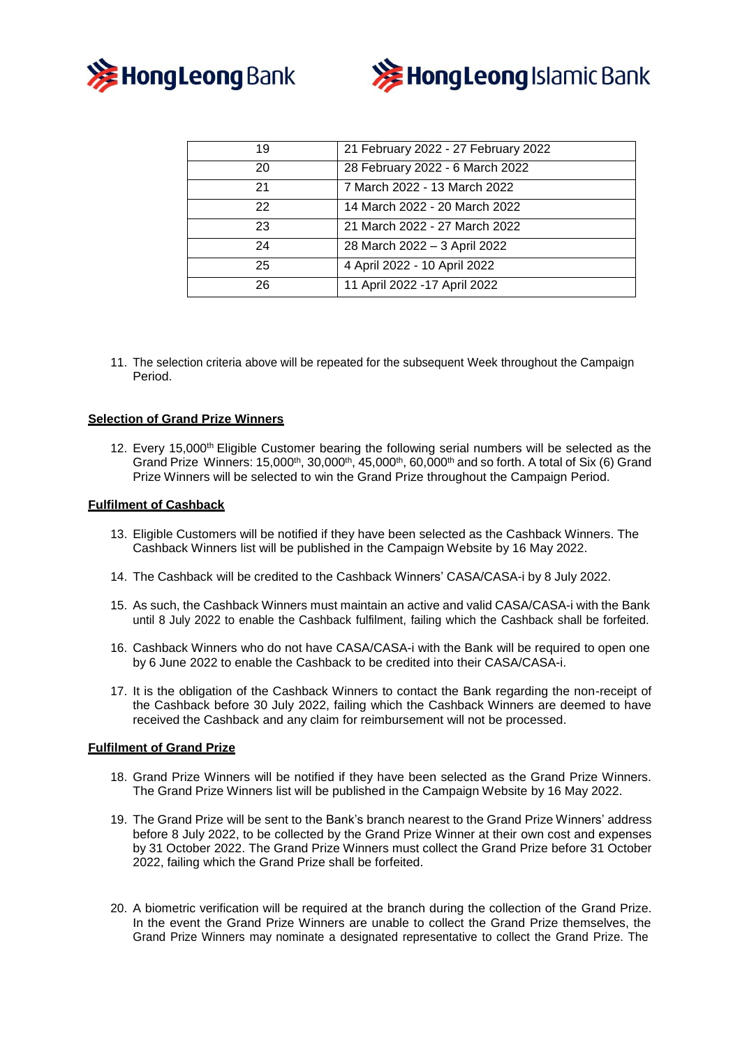



| 19 | 21 February 2022 - 27 February 2022 |
|----|-------------------------------------|
| 20 | 28 February 2022 - 6 March 2022     |
| 21 | 7 March 2022 - 13 March 2022        |
| 22 | 14 March 2022 - 20 March 2022       |
| 23 | 21 March 2022 - 27 March 2022       |
| 24 | 28 March 2022 - 3 April 2022        |
| 25 | 4 April 2022 - 10 April 2022        |
| 26 | 11 April 2022 - 17 April 2022       |

11. The selection criteria above will be repeated for the subsequent Week throughout the Campaign Period.

# **Selection of Grand Prize Winners**

12. Every 15,000<sup>th</sup> Eligible Customer bearing the following serial numbers will be selected as the Grand Prize Winners: 15,000<sup>th</sup>, 30,000<sup>th</sup>, 45,000<sup>th</sup>, 60,000<sup>th</sup> and so forth. A total of Six (6) Grand Prize Winners will be selected to win the Grand Prize throughout the Campaign Period.

#### **Fulfilment of Cashback**

- 13. Eligible Customers will be notified if they have been selected as the Cashback Winners. The Cashback Winners list will be published in the Campaign Website by 16 May 2022.
- 14. The Cashback will be credited to the Cashback Winners' CASA/CASA-i by 8 July 2022.
- 15. As such, the Cashback Winners must maintain an active and valid CASA/CASA-i with the Bank until 8 July 2022 to enable the Cashback fulfilment, failing which the Cashback shall be forfeited.
- 16. Cashback Winners who do not have CASA/CASA-i with the Bank will be required to open one by 6 June 2022 to enable the Cashback to be credited into their CASA/CASA-i.
- 17. It is the obligation of the Cashback Winners to contact the Bank regarding the non-receipt of the Cashback before 30 July 2022, failing which the Cashback Winners are deemed to have received the Cashback and any claim for reimbursement will not be processed.

#### **Fulfilment of Grand Prize**

- 18. Grand Prize Winners will be notified if they have been selected as the Grand Prize Winners. The Grand Prize Winners list will be published in the Campaign Website by 16 May 2022.
- 19. The Grand Prize will be sent to the Bank's branch nearest to the Grand Prize Winners' address before 8 July 2022, to be collected by the Grand Prize Winner at their own cost and expenses by 31 October 2022. The Grand Prize Winners must collect the Grand Prize before 31 October 2022, failing which the Grand Prize shall be forfeited.
- 20. A biometric verification will be required at the branch during the collection of the Grand Prize. In the event the Grand Prize Winners are unable to collect the Grand Prize themselves, the Grand Prize Winners may nominate a designated representative to collect the Grand Prize. The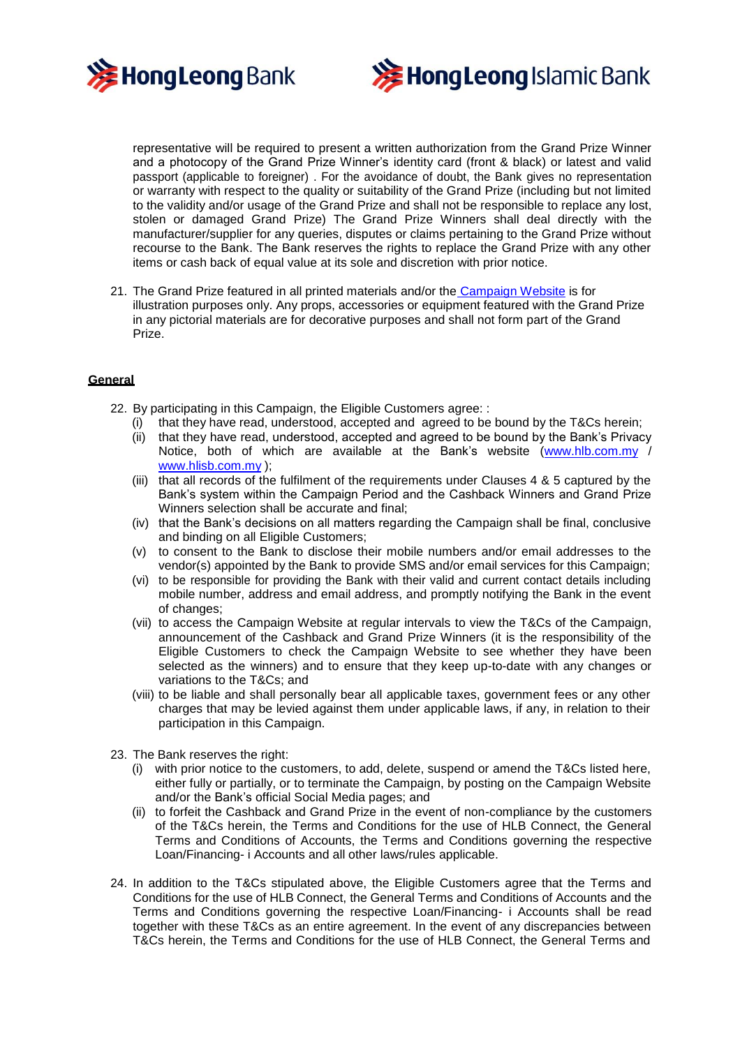



representative will be required to present a written authorization from the Grand Prize Winner and a photocopy of the Grand Prize Winner's identity card (front & black) or latest and valid passport (applicable to foreigner) . For the avoidance of doubt, the Bank gives no representation or warranty with respect to the quality or suitability of the Grand Prize (including but not limited to the validity and/or usage of the Grand Prize and shall not be responsible to replace any lost, stolen or damaged Grand Prize) The Grand Prize Winners shall deal directly with the manufacturer/supplier for any queries, disputes or claims pertaining to the Grand Prize without recourse to the Bank. The Bank reserves the rights to replace the Grand Prize with any other items or cash back of equal value at its sole and discretion with prior notice.

21. The Grand Prize featured in all printed materials and/or the Campaign Website is for illustration purposes only. Any props, accessories or equipment featured with the Grand Prize in any pictorial materials are for decorative purposes and shall not form part of the Grand Prize.

# **General**

- 22. By participating in this Campaign, the Eligible Customers agree: :
	- that they have read, understood, accepted and agreed to be bound by the T&Cs herein;
	- (ii) that they have read, understood, accepted and agreed to be bound by the Bank's Privacy Notice, both of which are available at the Bank's website [\(www.hlb.com.my](http://www.hlb.com.my/) / [www.hlisb.com.my](http://www.hlisb.com.my/) );
	- (iii) that all records of the fulfilment of the requirements under Clauses 4 & 5 captured by the Bank's system within the Campaign Period and the Cashback Winners and Grand Prize Winners selection shall be accurate and final;
	- (iv) that the Bank's decisions on all matters regarding the Campaign shall be final, conclusive and binding on all Eligible Customers;
	- (v) to consent to the Bank to disclose their mobile numbers and/or email addresses to the vendor(s) appointed by the Bank to provide SMS and/or email services for this Campaign;
	- (vi) to be responsible for providing the Bank with their valid and current contact details including mobile number, address and email address, and promptly notifying the Bank in the event of changes;
	- (vii) to access the Campaign Website at regular intervals to view the T&Cs of the Campaign, announcement of the Cashback and Grand Prize Winners (it is the responsibility of the Eligible Customers to check the Campaign Website to see whether they have been selected as the winners) and to ensure that they keep up-to-date with any changes or variations to the T&Cs; and
	- (viii) to be liable and shall personally bear all applicable taxes, government fees or any other charges that may be levied against them under applicable laws, if any, in relation to their participation in this Campaign.
- 23. The Bank reserves the right:
	- (i) with prior notice to the customers, to add, delete, suspend or amend the T&Cs listed here, either fully or partially, or to terminate the Campaign, by posting on the Campaign Website and/or the Bank's official Social Media pages; and
	- (ii) to forfeit the Cashback and Grand Prize in the event of non-compliance by the customers of the T&Cs herein, the Terms and Conditions for the use of HLB Connect, the General Terms and Conditions of Accounts, the Terms and Conditions governing the respective Loan/Financing- i Accounts and all other laws/rules applicable.
- 24. In addition to the T&Cs stipulated above, the Eligible Customers agree that the Terms and Conditions for the use of HLB Connect, the General Terms and Conditions of Accounts and the Terms and Conditions governing the respective Loan/Financing- i Accounts shall be read together with these T&Cs as an entire agreement. In the event of any discrepancies between T&Cs herein, the Terms and Conditions for the use of HLB Connect, the General Terms and